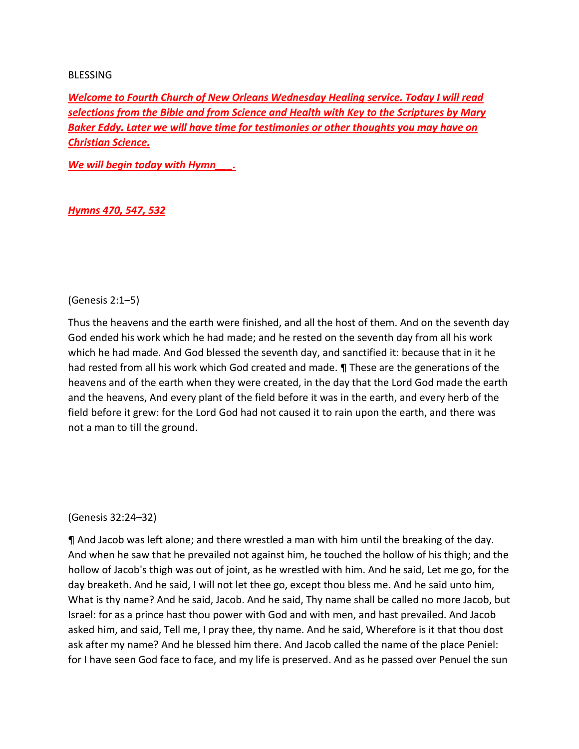#### **BLESSING**

*Welcome to Fourth Church of New Orleans Wednesday Healing service. Today I will read selections from the Bible and from Science and Health with Key to the Scriptures by Mary Baker Eddy. Later we will have time for testimonies or other thoughts you may have on Christian Science.*

*We will begin today with Hymn\_\_\_.* 

## *Hymns 470, 547, 532*

#### (Genesis 2:1–5)

Thus the heavens and the earth were finished, and all the host of them. And on the seventh day God ended his work which he had made; and he rested on the seventh day from all his work which he had made. And God blessed the seventh day, and sanctified it: because that in it he had rested from all his work which God created and made. ¶ These are the generations of the heavens and of the earth when they were created, in the day that the Lord God made the earth and the heavens, And every plant of the field before it was in the earth, and every herb of the field before it grew: for the Lord God had not caused it to rain upon the earth, and there was not a man to till the ground.

#### (Genesis 32:24–32)

¶ And Jacob was left alone; and there wrestled a man with him until the breaking of the day. And when he saw that he prevailed not against him, he touched the hollow of his thigh; and the hollow of Jacob's thigh was out of joint, as he wrestled with him. And he said, Let me go, for the day breaketh. And he said, I will not let thee go, except thou bless me. And he said unto him, What is thy name? And he said, Jacob. And he said, Thy name shall be called no more Jacob, but Israel: for as a prince hast thou power with God and with men, and hast prevailed. And Jacob asked him, and said, Tell me, I pray thee, thy name. And he said, Wherefore is it that thou dost ask after my name? And he blessed him there. And Jacob called the name of the place Peniel: for I have seen God face to face, and my life is preserved. And as he passed over Penuel the sun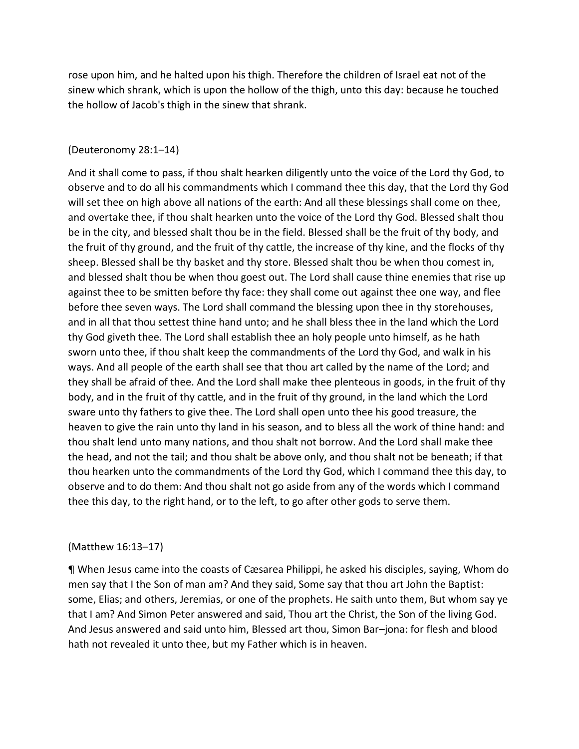rose upon him, and he halted upon his thigh. Therefore the children of Israel eat not of the sinew which shrank, which is upon the hollow of the thigh, unto this day: because he touched the hollow of Jacob's thigh in the sinew that shrank.

#### (Deuteronomy 28:1–14)

And it shall come to pass, if thou shalt hearken diligently unto the voice of the Lord thy God, to observe and to do all his commandments which I command thee this day, that the Lord thy God will set thee on high above all nations of the earth: And all these blessings shall come on thee, and overtake thee, if thou shalt hearken unto the voice of the Lord thy God. Blessed shalt thou be in the city, and blessed shalt thou be in the field. Blessed shall be the fruit of thy body, and the fruit of thy ground, and the fruit of thy cattle, the increase of thy kine, and the flocks of thy sheep. Blessed shall be thy basket and thy store. Blessed shalt thou be when thou comest in, and blessed shalt thou be when thou goest out. The Lord shall cause thine enemies that rise up against thee to be smitten before thy face: they shall come out against thee one way, and flee before thee seven ways. The Lord shall command the blessing upon thee in thy storehouses, and in all that thou settest thine hand unto; and he shall bless thee in the land which the Lord thy God giveth thee. The Lord shall establish thee an holy people unto himself, as he hath sworn unto thee, if thou shalt keep the commandments of the Lord thy God, and walk in his ways. And all people of the earth shall see that thou art called by the name of the Lord; and they shall be afraid of thee. And the Lord shall make thee plenteous in goods, in the fruit of thy body, and in the fruit of thy cattle, and in the fruit of thy ground, in the land which the Lord sware unto thy fathers to give thee. The Lord shall open unto thee his good treasure, the heaven to give the rain unto thy land in his season, and to bless all the work of thine hand: and thou shalt lend unto many nations, and thou shalt not borrow. And the Lord shall make thee the head, and not the tail; and thou shalt be above only, and thou shalt not be beneath; if that thou hearken unto the commandments of the Lord thy God, which I command thee this day, to observe and to do them: And thou shalt not go aside from any of the words which I command thee this day, to the right hand, or to the left, to go after other gods to serve them.

#### (Matthew 16:13–17)

¶ When Jesus came into the coasts of Cæsarea Philippi, he asked his disciples, saying, Whom do men say that I the Son of man am? And they said, Some say that thou art John the Baptist: some, Elias; and others, Jeremias, or one of the prophets. He saith unto them, But whom say ye that I am? And Simon Peter answered and said, Thou art the Christ, the Son of the living God. And Jesus answered and said unto him, Blessed art thou, Simon Bar–jona: for flesh and blood hath not revealed it unto thee, but my Father which is in heaven.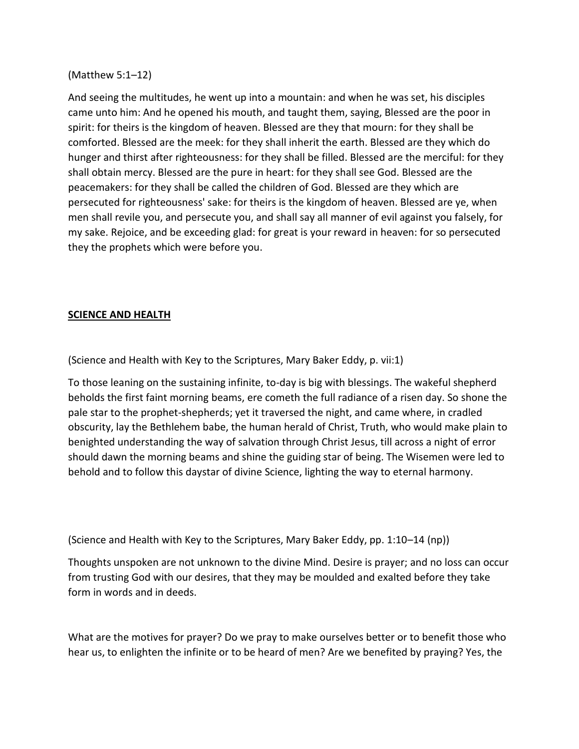## (Matthew 5:1–12)

And seeing the multitudes, he went up into a mountain: and when he was set, his disciples came unto him: And he opened his mouth, and taught them, saying, Blessed are the poor in spirit: for theirs is the kingdom of heaven. Blessed are they that mourn: for they shall be comforted. Blessed are the meek: for they shall inherit the earth. Blessed are they which do hunger and thirst after righteousness: for they shall be filled. Blessed are the merciful: for they shall obtain mercy. Blessed are the pure in heart: for they shall see God. Blessed are the peacemakers: for they shall be called the children of God. Blessed are they which are persecuted for righteousness' sake: for theirs is the kingdom of heaven. Blessed are ye, when men shall revile you, and persecute you, and shall say all manner of evil against you falsely, for my sake. Rejoice, and be exceeding glad: for great is your reward in heaven: for so persecuted they the prophets which were before you.

## **SCIENCE AND HEALTH**

(Science and Health with Key to the Scriptures, Mary Baker Eddy, p. vii:1)

To those leaning on the sustaining infinite, to-day is big with blessings. The wakeful shepherd beholds the first faint morning beams, ere cometh the full radiance of a risen day. So shone the pale star to the prophet-shepherds; yet it traversed the night, and came where, in cradled obscurity, lay the Bethlehem babe, the human herald of Christ, Truth, who would make plain to benighted understanding the way of salvation through Christ Jesus, till across a night of error should dawn the morning beams and shine the guiding star of being. The Wisemen were led to behold and to follow this daystar of divine Science, lighting the way to eternal harmony.

(Science and Health with Key to the Scriptures, Mary Baker Eddy, pp. 1:10–14 (np))

Thoughts unspoken are not unknown to the divine Mind. Desire is prayer; and no loss can occur from trusting God with our desires, that they may be moulded and exalted before they take form in words and in deeds.

What are the motives for prayer? Do we pray to make ourselves better or to benefit those who hear us, to enlighten the infinite or to be heard of men? Are we benefited by praying? Yes, the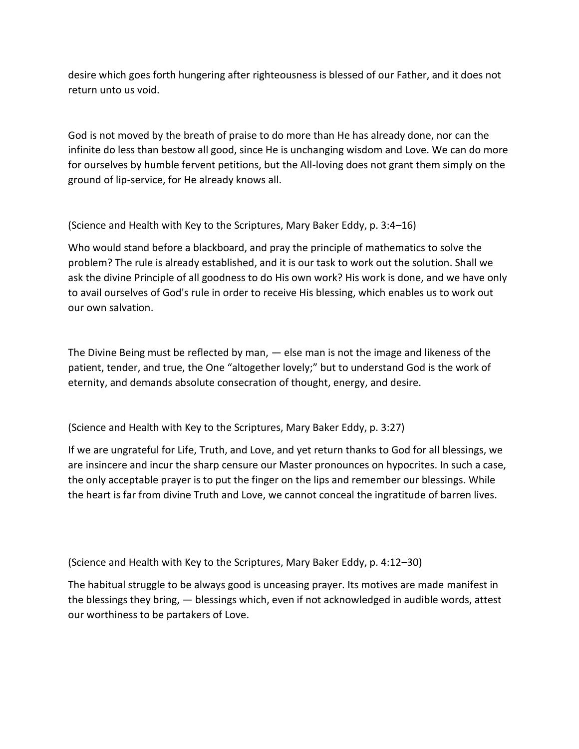desire which goes forth hungering after righteousness is blessed of our Father, and it does not return unto us void.

God is not moved by the breath of praise to do more than He has already done, nor can the infinite do less than bestow all good, since He is unchanging wisdom and Love. We can do more for ourselves by humble fervent petitions, but the All-loving does not grant them simply on the ground of lip-service, for He already knows all.

(Science and Health with Key to the Scriptures, Mary Baker Eddy, p. 3:4–16)

Who would stand before a blackboard, and pray the principle of mathematics to solve the problem? The rule is already established, and it is our task to work out the solution. Shall we ask the divine Principle of all goodness to do His own work? His work is done, and we have only to avail ourselves of God's rule in order to receive His blessing, which enables us to work out our own salvation.

The Divine Being must be reflected by man, — else man is not the image and likeness of the patient, tender, and true, the One "altogether lovely;" but to understand God is the work of eternity, and demands absolute consecration of thought, energy, and desire.

(Science and Health with Key to the Scriptures, Mary Baker Eddy, p. 3:27)

If we are ungrateful for Life, Truth, and Love, and yet return thanks to God for all blessings, we are insincere and incur the sharp censure our Master pronounces on hypocrites. In such a case, the only acceptable prayer is to put the finger on the lips and remember our blessings. While the heart is far from divine Truth and Love, we cannot conceal the ingratitude of barren lives.

(Science and Health with Key to the Scriptures, Mary Baker Eddy, p. 4:12–30)

The habitual struggle to be always good is unceasing prayer. Its motives are made manifest in the blessings they bring, — blessings which, even if not acknowledged in audible words, attest our worthiness to be partakers of Love.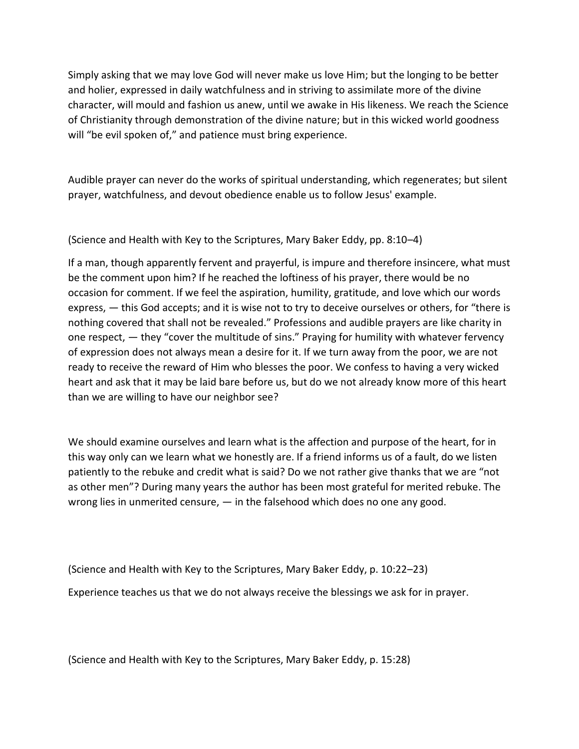Simply asking that we may love God will never make us love Him; but the longing to be better and holier, expressed in daily watchfulness and in striving to assimilate more of the divine character, will mould and fashion us anew, until we awake in His likeness. We reach the Science of Christianity through demonstration of the divine nature; but in this wicked world goodness will "be evil spoken of," and patience must bring experience.

Audible prayer can never do the works of spiritual understanding, which regenerates; but silent prayer, watchfulness, and devout obedience enable us to follow Jesus' example.

(Science and Health with Key to the Scriptures, Mary Baker Eddy, pp. 8:10–4)

If a man, though apparently fervent and prayerful, is impure and therefore insincere, what must be the comment upon him? If he reached the loftiness of his prayer, there would be no occasion for comment. If we feel the aspiration, humility, gratitude, and love which our words express, — this God accepts; and it is wise not to try to deceive ourselves or others, for "there is nothing covered that shall not be revealed." Professions and audible prayers are like charity in one respect, — they "cover the multitude of sins." Praying for humility with whatever fervency of expression does not always mean a desire for it. If we turn away from the poor, we are not ready to receive the reward of Him who blesses the poor. We confess to having a very wicked heart and ask that it may be laid bare before us, but do we not already know more of this heart than we are willing to have our neighbor see?

We should examine ourselves and learn what is the affection and purpose of the heart, for in this way only can we learn what we honestly are. If a friend informs us of a fault, do we listen patiently to the rebuke and credit what is said? Do we not rather give thanks that we are "not as other men"? During many years the author has been most grateful for merited rebuke. The wrong lies in unmerited censure, — in the falsehood which does no one any good.

(Science and Health with Key to the Scriptures, Mary Baker Eddy, p. 10:22–23) Experience teaches us that we do not always receive the blessings we ask for in prayer.

(Science and Health with Key to the Scriptures, Mary Baker Eddy, p. 15:28)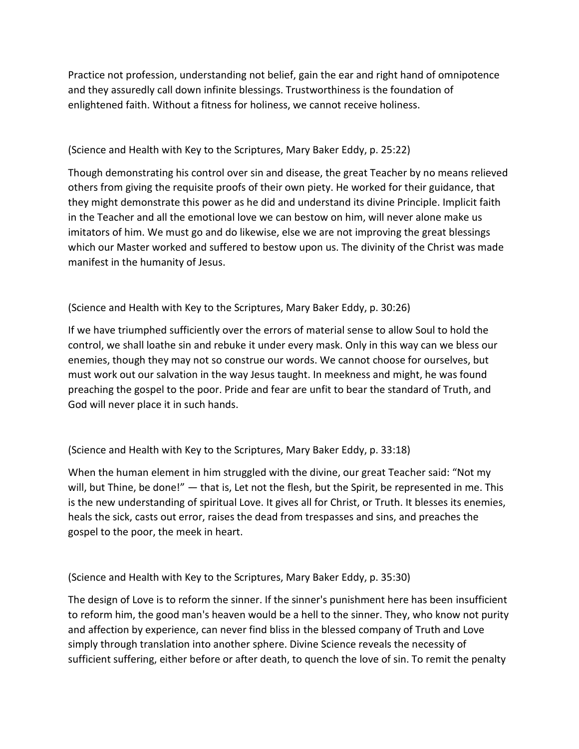Practice not profession, understanding not belief, gain the ear and right hand of omnipotence and they assuredly call down infinite blessings. Trustworthiness is the foundation of enlightened faith. Without a fitness for holiness, we cannot receive holiness.

# (Science and Health with Key to the Scriptures, Mary Baker Eddy, p. 25:22)

Though demonstrating his control over sin and disease, the great Teacher by no means relieved others from giving the requisite proofs of their own piety. He worked for their guidance, that they might demonstrate this power as he did and understand its divine Principle. Implicit faith in the Teacher and all the emotional love we can bestow on him, will never alone make us imitators of him. We must go and do likewise, else we are not improving the great blessings which our Master worked and suffered to bestow upon us. The divinity of the Christ was made manifest in the humanity of Jesus.

(Science and Health with Key to the Scriptures, Mary Baker Eddy, p. 30:26)

If we have triumphed sufficiently over the errors of material sense to allow Soul to hold the control, we shall loathe sin and rebuke it under every mask. Only in this way can we bless our enemies, though they may not so construe our words. We cannot choose for ourselves, but must work out our salvation in the way Jesus taught. In meekness and might, he was found preaching the gospel to the poor. Pride and fear are unfit to bear the standard of Truth, and God will never place it in such hands.

# (Science and Health with Key to the Scriptures, Mary Baker Eddy, p. 33:18)

When the human element in him struggled with the divine, our great Teacher said: "Not my will, but Thine, be done!" — that is, Let not the flesh, but the Spirit, be represented in me. This is the new understanding of spiritual Love. It gives all for Christ, or Truth. It blesses its enemies, heals the sick, casts out error, raises the dead from trespasses and sins, and preaches the gospel to the poor, the meek in heart.

(Science and Health with Key to the Scriptures, Mary Baker Eddy, p. 35:30)

The design of Love is to reform the sinner. If the sinner's punishment here has been insufficient to reform him, the good man's heaven would be a hell to the sinner. They, who know not purity and affection by experience, can never find bliss in the blessed company of Truth and Love simply through translation into another sphere. Divine Science reveals the necessity of sufficient suffering, either before or after death, to quench the love of sin. To remit the penalty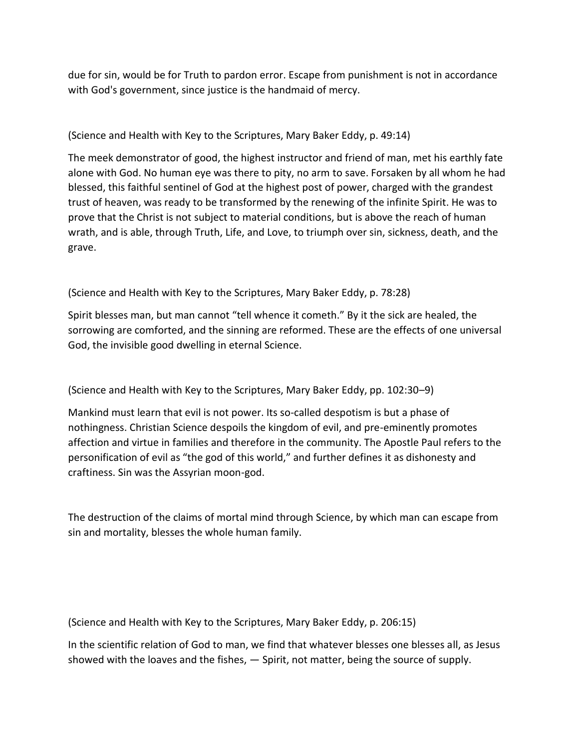due for sin, would be for Truth to pardon error. Escape from punishment is not in accordance with God's government, since justice is the handmaid of mercy.

(Science and Health with Key to the Scriptures, Mary Baker Eddy, p. 49:14)

The meek demonstrator of good, the highest instructor and friend of man, met his earthly fate alone with God. No human eye was there to pity, no arm to save. Forsaken by all whom he had blessed, this faithful sentinel of God at the highest post of power, charged with the grandest trust of heaven, was ready to be transformed by the renewing of the infinite Spirit. He was to prove that the Christ is not subject to material conditions, but is above the reach of human wrath, and is able, through Truth, Life, and Love, to triumph over sin, sickness, death, and the grave.

(Science and Health with Key to the Scriptures, Mary Baker Eddy, p. 78:28)

Spirit blesses man, but man cannot "tell whence it cometh." By it the sick are healed, the sorrowing are comforted, and the sinning are reformed. These are the effects of one universal God, the invisible good dwelling in eternal Science.

(Science and Health with Key to the Scriptures, Mary Baker Eddy, pp. 102:30–9)

Mankind must learn that evil is not power. Its so-called despotism is but a phase of nothingness. Christian Science despoils the kingdom of evil, and pre-eminently promotes affection and virtue in families and therefore in the community. The Apostle Paul refers to the personification of evil as "the god of this world," and further defines it as dishonesty and craftiness. Sin was the Assyrian moon-god.

The destruction of the claims of mortal mind through Science, by which man can escape from sin and mortality, blesses the whole human family.

(Science and Health with Key to the Scriptures, Mary Baker Eddy, p. 206:15)

In the scientific relation of God to man, we find that whatever blesses one blesses all, as Jesus showed with the loaves and the fishes, — Spirit, not matter, being the source of supply.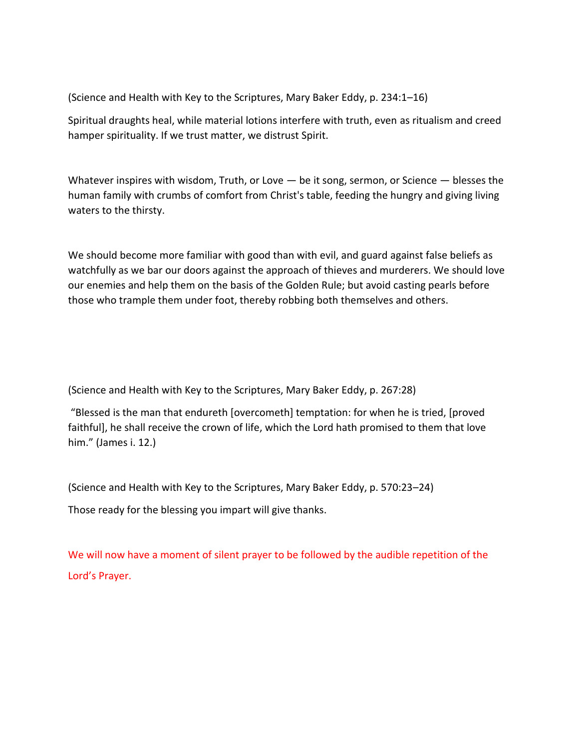(Science and Health with Key to the Scriptures, Mary Baker Eddy, p. 234:1–16)

Spiritual draughts heal, while material lotions interfere with truth, even as ritualism and creed hamper spirituality. If we trust matter, we distrust Spirit.

Whatever inspires with wisdom, Truth, or Love  $-$  be it song, sermon, or Science  $-$  blesses the human family with crumbs of comfort from Christ's table, feeding the hungry and giving living waters to the thirsty.

We should become more familiar with good than with evil, and guard against false beliefs as watchfully as we bar our doors against the approach of thieves and murderers. We should love our enemies and help them on the basis of the Golden Rule; but avoid casting pearls before those who trample them under foot, thereby robbing both themselves and others.

(Science and Health with Key to the Scriptures, Mary Baker Eddy, p. 267:28)

"Blessed is the man that endureth [overcometh] temptation: for when he is tried, [proved faithful], he shall receive the crown of life, which the Lord hath promised to them that love him." (James i. 12.)

(Science and Health with Key to the Scriptures, Mary Baker Eddy, p. 570:23–24)

Those ready for the blessing you impart will give thanks.

We will now have a moment of silent prayer to be followed by the audible repetition of the Lord's Prayer.